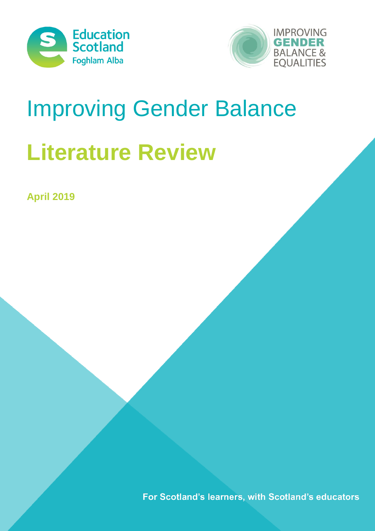



# Improving Gender Balance

# **Literature Review**

**April 2019**

For Scotland's learners, with Scotland's educators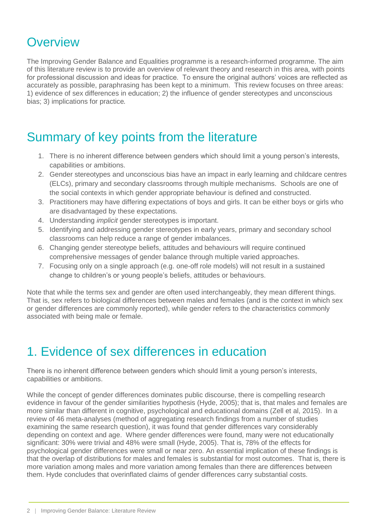### **Overview**

The Improving Gender Balance and Equalities programme is a research-informed programme. The aim of this literature review is to provide an overview of relevant theory and research in this area, with points for professional discussion and ideas for practice. To ensure the original authors' voices are reflected as accurately as possible, paraphrasing has been kept to a minimum. This review focuses on three areas: 1) evidence of sex differences in education; 2) the influence of gender stereotypes and unconscious bias; 3) implications for practice.

### Summary of key points from the literature

- 1. There is no inherent difference between genders which should limit a young person's interests, capabilities or ambitions.
- 2. Gender stereotypes and unconscious bias have an impact in early learning and childcare centres (ELCs), primary and secondary classrooms through multiple mechanisms. Schools are one of the social contexts in which gender appropriate behaviour is defined and constructed.
- 3. Practitioners may have differing expectations of boys and girls. It can be either boys or girls who are disadvantaged by these expectations.
- 4. Understanding *implicit* gender stereotypes is important.
- 5. Identifying and addressing gender stereotypes in early years, primary and secondary school classrooms can help reduce a range of gender imbalances.
- 6. Changing gender stereotype beliefs, attitudes and behaviours will require continued comprehensive messages of gender balance through multiple varied approaches.
- 7. Focusing only on a single approach (e.g. one-off role models) will not result in a sustained change to children's or young people's beliefs, attitudes or behaviours.

Note that while the terms sex and gender are often used interchangeably, they mean different things. That is, sex refers to biological differences between males and females (and is the context in which sex or gender differences are commonly reported), while gender refers to the characteristics commonly associated with being male or female.

### 1. Evidence of sex differences in education

There is no inherent difference between genders which should limit a young person's interests, capabilities or ambitions.

While the concept of gender differences dominates public discourse, there is compelling research evidence in favour of the gender similarities hypothesis (Hyde, 2005); that is, that males and females are more similar than different in cognitive, psychological and educational domains (Zell et al, 2015). In a review of 46 meta-analyses (method of aggregating research findings from a number of studies examining the same research question), it was found that gender differences vary considerably depending on context and age. Where gender differences were found, many were not educationally significant: 30% were trivial and 48% were small (Hyde, 2005). That is, 78% of the effects for psychological gender differences were small or near zero. An essential implication of these findings is that the overlap of distributions for males and females is substantial for most outcomes. That is, there is more variation among males and more variation among females than there are differences between them. Hyde concludes that overinflated claims of gender differences carry substantial costs.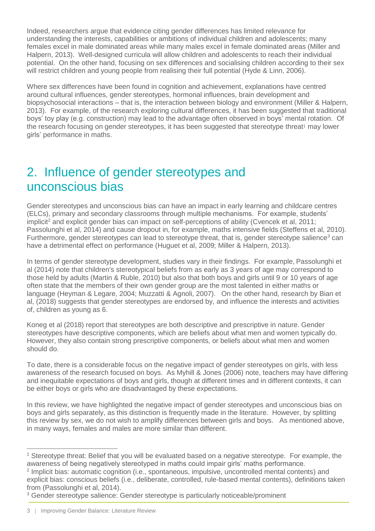Indeed, researchers argue that evidence citing gender differences has limited relevance for understanding the interests, capabilities or ambitions of individual children and adolescents; many females excel in male dominated areas while many males excel in female dominated areas (Miller and Halpern, 2013). Well-designed curricula will allow children and adolescents to reach their individual potential. On the other hand, focusing on sex differences and socialising children according to their sex will restrict children and young people from realising their full potential (Hyde & Linn, 2006).

Where sex differences have been found in cognition and achievement, explanations have centred around cultural influences, gender stereotypes, hormonal influences, brain development and biopsychosocial interactions – that is, the interaction between biology and environment (Miller & Halpern, 2013). For example, of the research exploring cultural differences, it has been suggested that traditional boys' toy play (e.g. construction) may lead to the advantage often observed in boys' mental rotation. Of the research focusing on gender stereotypes, it has been suggested that stereotype threat<sup>1</sup> may lower girls' performance in maths.

### 2. Influence of gender stereotypes and unconscious bias

Gender stereotypes and unconscious bias can have an impact in early learning and childcare centres (ELCs), primary and secondary classrooms through multiple mechanisms. For example, students' implicit<sup>2</sup> and explicit gender bias can impact on self-perceptions of ability (Cvencek et al, 2011; Passolunghi et al, 2014) and cause dropout in, for example, maths intensive fields (Steffens et al, 2010). Furthermore, gender stereotypes can lead to stereotype threat, that is, gender stereotype salience<sup>3</sup> can have a detrimental effect on performance (Huguet et al, 2009; Miller & Halpern, 2013).

In terms of gender stereotype development, studies vary in their findings. For example, Passolunghi et al (2014) note that children's stereotypical beliefs from as early as 3 years of age may correspond to those held by adults (Martin & Ruble, 2010) but also that both boys and girls until 9 or 10 years of age often state that the members of their own gender group are the most talented in either maths or language (Heyman & Legare, 2004; Muzzatti & Agnoli, 2007). On the other hand, research by Bian et al, (2018) suggests that gender stereotypes are endorsed by, and influence the interests and activities of, children as young as 6.

Koneg et al (2018) report that stereotypes are both descriptive and prescriptive in nature. Gender stereotypes have descriptive components, which are beliefs about what men and women typically do. However, they also contain strong prescriptive components, or beliefs about what men and women should do.

To date, there is a considerable focus on the negative impact of gender stereotypes on girls, with less awareness of the research focused on boys. As Myhill & Jones (2006) note, teachers may have differing and inequitable expectations of boys and girls, though at different times and in different contexts, it can be either boys or girls who are disadvantaged by these expectations.

In this review, we have highlighted the negative impact of gender stereotypes and unconscious bias on boys and girls separately, as this distinction is frequently made in the literature. However, by splitting this review by sex, we do not wish to amplify differences between girls and boys. As mentioned above, in many ways, females and males are more similar than different.

 $\overline{a}$ <sup>1</sup> Stereotype threat: Belief that you will be evaluated based on a negative stereotype. For example, the awareness of being negatively stereotyped in maths could impair girls' maths performance.

<sup>&</sup>lt;sup>2</sup> Implicit bias: automatic cognition (i.e., spontaneous, impulsive, uncontrolled mental contents) and explicit bias: conscious beliefs (i.e., deliberate, controlled, rule-based mental contents), definitions taken from (Passolunghi et al, 2014).

<sup>3</sup> Gender stereotype salience: Gender stereotype is particularly noticeable/prominent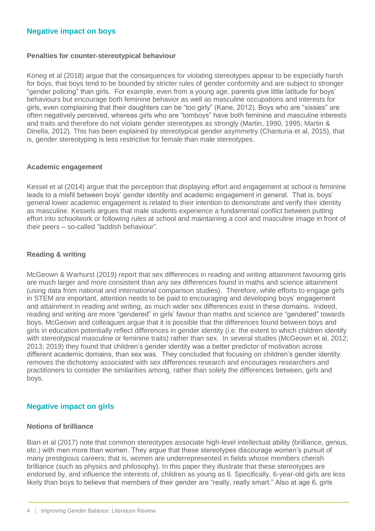#### **Negative impact on boys**

#### **Penalties for counter-stereotypical behaviour**

Koneg et al (2018) argue that the consequences for violating stereotypes appear to be especially harsh for boys, that boys tend to be bounded by stricter rules of gender conformity and are subject to stronger "gender policing" than girls. For example, even from a young age, parents give little latitude for boys' behaviours but encourage both feminine behavior as well as masculine occupations and interests for girls, even complaining that their daughters can be "too girly" (Kane, 2012). Boys who are "sissies" are often negatively perceived, whereas girls who are "tomboys" have both feminine and masculine interests and traits and therefore do not violate gender stereotypes as strongly (Martin, 1990, 1995; Martin & Dinella, 2012). This has been explained by stereotypical gender asymmetry (Chanturia et al, 2015), that is, gender stereotyping is less restrictive for female than male stereotypes.

#### **Academic engagement**

Kessel et al (2014) argue that the perception that displaying effort and engagement at school is feminine leads to a misfit between boys' gender identity and academic engagement in general. That is, boys' general lower academic engagement is related to their intention to demonstrate and verify their identity as masculine. Kessels argues that male students experience a fundamental conflict between putting effort into schoolwork or following rules at school and maintaining a cool and masculine image in front of their peers – so-called "laddish behaviour".

#### **Reading & writing**

McGeown & Warhurst (2019) report that sex differences in reading and writing attainment favouring girls are much larger and more consistent than any sex differences found in maths and science attainment (using data from national and international comparison studies). Therefore, while efforts to engage girls in STEM are important, attention needs to be paid to encouraging and developing boys' engagement and attainment in reading and writing, as much wider sex differences exist in these domains. Indeed, reading and writing are more "gendered" in girls' favour than maths and science are "gendered" towards boys. McGeown and colleagues argue that it is possible that the differences found between boys and girls in education potentially reflect differences in gender identity (i.e. the extent to which children identify with stereotypical masculine or feminine traits) rather than sex. In several studies (McGeown et al, 2012; 2013; 2019) they found that children's gender identity was a better predictor of motivation across different academic domains, than sex was. They concluded that focusing on children's gender identity removes the dichotomy associated with sex differences research and encourages researchers and practitioners to consider the similarities among, rather than solely the differences between, girls and boys.

#### **Negative impact on girls**

#### **Notions of brilliance**

Bian et al (2017) note that common stereotypes associate high-level intellectual ability (brilliance, genius, etc.) with men more than women. They argue that these stereotypes discourage women's pursuit of many prestigious careers; that is, women are underrepresented in fields whose members cherish brilliance (such as physics and philosophy). In this paper they illustrate that these stereotypes are endorsed by, and influence the interests of, children as young as 6. Specifically, 6-year-old girls are less likely than boys to believe that members of their gender are "really, really smart." Also at age 6, girls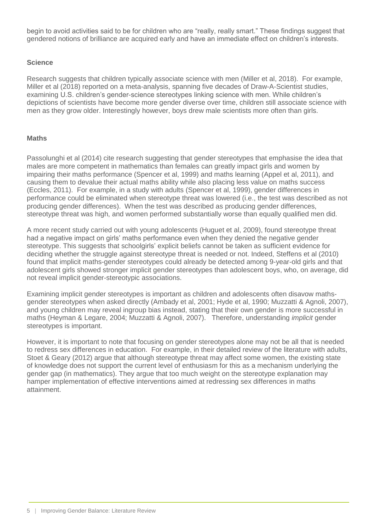begin to avoid activities said to be for children who are "really, really smart." These findings suggest that gendered notions of brilliance are acquired early and have an immediate effect on children's interests.

#### **Science**

Research suggests that children typically associate science with men (Miller et al, 2018). For example, Miller et al (2018) reported on a meta-analysis, spanning five decades of Draw-A-Scientist studies, examining U.S. children's gender-science stereotypes linking science with men. While children's depictions of scientists have become more gender diverse over time, children still associate science with men as they grow older. Interestingly however, boys drew male scientists more often than girls.

#### **Maths**

Passolunghi et al (2014) cite research suggesting that gender stereotypes that emphasise the idea that males are more competent in mathematics than females can greatly impact girls and women by impairing their maths performance (Spencer et al, 1999) and maths learning (Appel et al, 2011), and causing them to devalue their actual maths ability while also placing less value on maths success (Eccles, 2011). For example, in a study with adults (Spencer et al, 1999), gender differences in performance could be eliminated when stereotype threat was lowered (i.e., the test was described as not producing gender differences). When the test was described as producing gender differences, stereotype threat was high, and women performed substantially worse than equally qualified men did.

A more recent study carried out with young adolescents (Huguet et al, 2009), found stereotype threat had a negative impact on girls' maths performance even when they denied the negative gender stereotype. This suggests that schoolgirls' explicit beliefs cannot be taken as sufficient evidence for deciding whether the struggle against stereotype threat is needed or not. Indeed, Steffens et al (2010) found that implicit maths-gender stereotypes could already be detected among 9-year-old girls and that adolescent girls showed stronger implicit gender stereotypes than adolescent boys, who, on average, did not reveal implicit gender-stereotypic associations.

Examining implicit gender stereotypes is important as children and adolescents often disavow mathsgender stereotypes when asked directly (Ambady et al, 2001; Hyde et al, 1990; Muzzatti & Agnoli, 2007), and young children may reveal ingroup bias instead, stating that their own gender is more successful in maths (Heyman & Legare, 2004; Muzzatti & Agnoli, 2007). Therefore, understanding *implicit* gender stereotypes is important.

However, it is important to note that focusing on gender stereotypes alone may not be all that is needed to redress sex differences in education. For example, in their detailed review of the literature with adults, Stoet & Geary (2012) argue that although stereotype threat may affect some women, the existing state of knowledge does not support the current level of enthusiasm for this as a mechanism underlying the gender gap (in mathematics). They argue that too much weight on the stereotype explanation may hamper implementation of effective interventions aimed at redressing sex differences in maths attainment.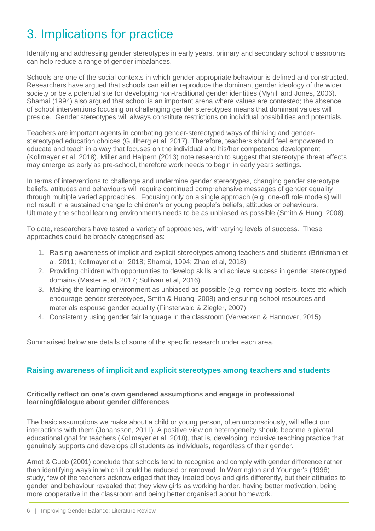## 3. Implications for practice

Identifying and addressing gender stereotypes in early years, primary and secondary school classrooms can help reduce a range of gender imbalances.

Schools are one of the social contexts in which gender appropriate behaviour is defined and constructed. Researchers have argued that schools can either reproduce the dominant gender ideology of the wider society or be a potential site for developing non-traditional gender identities (Myhill and Jones, 2006). Shamai (1994) also argued that school is an important arena where values are contested; the absence of school interventions focusing on challenging gender stereotypes means that dominant values will preside. Gender stereotypes will always constitute restrictions on individual possibilities and potentials.

Teachers are important agents in combating gender-stereotyped ways of thinking and genderstereotyped education choices (Gullberg et al, 2017). Therefore, teachers should feel empowered to educate and teach in a way that focuses on the individual and his/her competence development (Kollmayer et al, 2018). Miller and Halpern (2013) note research to suggest that stereotype threat effects may emerge as early as pre-school, therefore work needs to begin in early years settings.

In terms of interventions to challenge and undermine gender stereotypes, changing gender stereotype beliefs, attitudes and behaviours will require continued comprehensive messages of gender equality through multiple varied approaches. Focusing only on a single approach (e.g. one-off role models) will not result in a sustained change to children's or young people's beliefs, attitudes or behaviours. Ultimately the school learning environments needs to be as unbiased as possible (Smith & Hung, 2008).

To date, researchers have tested a variety of approaches, with varying levels of success. These approaches could be broadly categorised as:

- 1. Raising awareness of implicit and explicit stereotypes among teachers and students (Brinkman et al, 2011; Kollmayer et al, 2018; Shamai, 1994; Zhao et al, 2018)
- 2. Providing children with opportunities to develop skills and achieve success in gender stereotyped domains (Master et al, 2017; Sullivan et al, 2016)
- 3. Making the learning environment as unbiased as possible (e.g. removing posters, texts etc which encourage gender stereotypes, Smith & Huang, 2008) and ensuring school resources and materials espouse gender equality (Finsterwald & Ziegler, 2007)
- 4. Consistently using gender fair language in the classroom (Vervecken & Hannover, 2015)

Summarised below are details of some of the specific research under each area.

#### **Raising awareness of implicit and explicit stereotypes among teachers and students**

#### **Critically reflect on one's own gendered assumptions and engage in professional learning/dialogue about gender differences**

The basic assumptions we make about a child or young person, often unconsciously, will affect our interactions with them (Johansson, 2011). A positive view on heterogeneity should become a pivotal educational goal for teachers (Kollmayer et al, 2018), that is, developing inclusive teaching practice that genuinely supports and develops all students as individuals, regardless of their gender.

Arnot & Gubb (2001) conclude that schools tend to recognise and comply with gender difference rather than identifying ways in which it could be reduced or removed. In Warrington and Younger's (1996) study, few of the teachers acknowledged that they treated boys and girls differently, but their attitudes to gender and behaviour revealed that they view girls as working harder, having better motivation, being more cooperative in the classroom and being better organised about homework.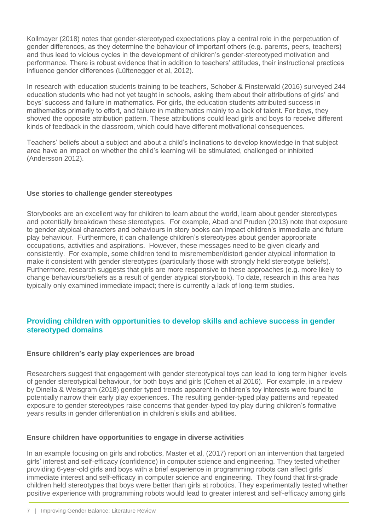Kollmayer (2018) notes that gender-stereotyped expectations play a central role in the perpetuation of gender differences, as they determine the behaviour of important others (e.g. parents, peers, teachers) and thus lead to vicious cycles in the development of children's gender-stereotyped motivation and performance. There is robust evidence that in addition to teachers' attitudes, their instructional practices influence gender differences (Lüftenegger et al, 2012).

In research with education students training to be teachers, Schober & Finsterwald (2016) surveyed 244 education students who had not yet taught in schools, asking them about their attributions of girls' and boys' success and failure in mathematics. For girls, the education students attributed success in mathematics primarily to effort, and failure in mathematics mainly to a lack of talent. For boys, they showed the opposite attribution pattern. These attributions could lead girls and boys to receive different kinds of feedback in the classroom, which could have different motivational consequences.

Teachers' beliefs about a subject and about a child's inclinations to develop knowledge in that subject area have an impact on whether the child's learning will be stimulated, challenged or inhibited (Andersson 2012).

#### **Use stories to challenge gender stereotypes**

Storybooks are an excellent way for children to learn about the world, learn about gender stereotypes and potentially breakdown these stereotypes. For example, Abad and Pruden (2013) note that exposure to gender atypical characters and behaviours in story books can impact children's immediate and future play behaviour. Furthermore, it can challenge children's stereotypes about gender appropriate occupations, activities and aspirations. However, these messages need to be given clearly and consistently. For example, some children tend to misremember/distort gender atypical information to make it consistent with gender stereotypes (particularly those with strongly held stereotype beliefs). Furthermore, research suggests that girls are more responsive to these approaches (e.g. more likely to change behaviours/beliefs as a result of gender atypical storybook). To date, research in this area has typically only examined immediate impact; there is currently a lack of long-term studies.

#### **Providing children with opportunities to develop skills and achieve success in gender stereotyped domains**

#### **Ensure children's early play experiences are broad**

Researchers suggest that engagement with gender stereotypical toys can lead to long term higher levels of gender stereotypical behaviour, for both boys and girls (Cohen et al 2016). For example, in a review by Dinella & Weisgram (2018) gender typed trends apparent in children's toy interests were found to potentially narrow their early play experiences. The resulting gender-typed play patterns and repeated exposure to gender stereotypes raise concerns that gender-typed toy play during children's formative years results in gender differentiation in children's skills and abilities.

#### **Ensure children have opportunities to engage in diverse activities**

In an example focusing on girls and robotics, Master et al, (2017) report on an intervention that targeted girls' interest and self-efficacy (confidence) in computer science and engineering. They tested whether providing 6-year-old girls and boys with a brief experience in programming robots can affect girls' immediate interest and self-efficacy in computer science and engineering. They found that first-grade children held stereotypes that boys were better than girls at robotics. They experimentally tested whether positive experience with programming robots would lead to greater interest and self-efficacy among girls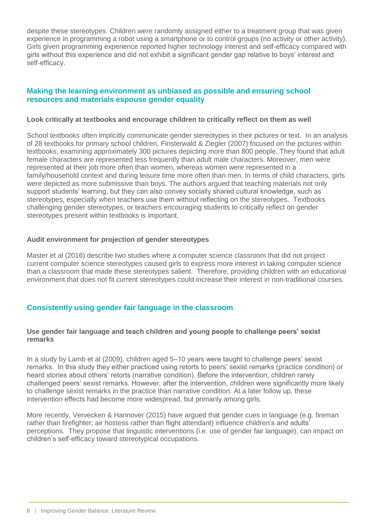despite these stereotypes. Children were randomly assigned either to a treatment group that was given experience in programming a robot using a smartphone or to control groups (no activity or other activity). Girls given programming experience reported higher technology interest and self-efficacy compared with girls without this experience and did not exhibit a significant gender gap relative to boys' interest and self-efficacy.

#### **Making the learning environment as unbiased as possible and ensuring school resources and materials espouse gender equality**

#### **Look critically at textbooks and encourage children to critically reflect on them as well**

School textbooks often implicitly communicate gender stereotypes in their pictures or text. In an analysis of 28 textbooks for primary school children, Finsterwald & Ziegler (2007) focused on the pictures within textbooks, examining approximately 300 pictures depicting more than 800 people. They found that adult female characters are represented less frequently than adult male characters. Moreover, men were represented at their job more often than women, whereas women were represented in a family/household context and during leisure time more often than men. In terms of child characters, girls were depicted as more submissive than boys. The authors argued that teaching materials not only support students' learning, but they can also convey socially shared cultural knowledge, such as stereotypes, especially when teachers use them without reflecting on the stereotypes. Textbooks challenging gender stereotypes, or teachers encouraging students to critically reflect on gender stereotypes present within textbooks is important.

#### **Audit environment for projection of gender stereotypes**

Master et al (2016) describe two studies where a computer science classroom that did not project current computer science stereotypes caused girls to express more interest in taking computer science than a classroom that made these stereotypes salient. Therefore, providing children with an educational environment that does not fit current stereotypes could increase their interest in non-traditional courses.

#### **Consistently using gender fair language in the classroom**

#### **Use gender fair language and teach children and young people to challenge peers' sexist remarks**

In a study by Lamb et al (2009), children aged 5–10 years were taught to challenge peers' sexist remarks. In this study they either practiced using retorts to peers' sexist remarks (practice condition) or heard stories about others' retorts (narrative condition). Before the intervention, children rarely challenged peers' sexist remarks. However, after the intervention, children were significantly more likely to challenge sexist remarks in the practice than narrative condition. At a later follow up, these intervention effects had become more widespread, but primarily among girls.

More recently, Vervecken & Hannover (2015) have argued that gender cues in language (e.g. fireman rather than firefighter; air hostess rather than flight attendant) influence children's and adults' perceptions. They propose that linguistic interventions (i.e. use of gender fair language), can impact on children's self-efficacy toward stereotypical occupations.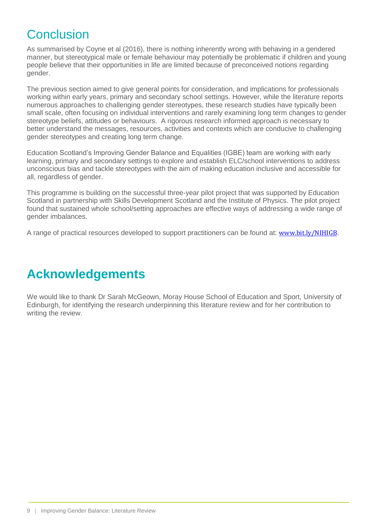## **Conclusion**

As summarised by Coyne et al (2016), there is nothing inherently wrong with behaving in a gendered manner, but stereotypical male or female behaviour may potentially be problematic if children and young people believe that their opportunities in life are limited because of preconceived notions regarding gender.

The previous section aimed to give general points for consideration, and implications for professionals working within early years, primary and secondary school settings. However, while the literature reports numerous approaches to challenging gender stereotypes, these research studies have typically been small scale, often focusing on individual interventions and rarely examining long term changes to gender stereotype beliefs, attitudes or behaviours. A rigorous research informed approach is necessary to better understand the messages, resources, activities and contexts which are conducive to challenging gender stereotypes and creating long term change.

Education Scotland's Improving Gender Balance and Equalities (IGBE) team are working with early learning, primary and secondary settings to explore and establish ELC/school interventions to address unconscious bias and tackle stereotypes with the aim of making education inclusive and accessible for all, regardless of gender.

This programme is building on the successful three-year pilot project that was supported by Education Scotland in partnership with Skills Development Scotland and the Institute of Physics. The pilot project found that sustained whole school/setting approaches are effective ways of addressing a wide range of gender imbalances.

A range of practical resources developed to support practitioners can be found at: [www.bit.ly/NIHIGB](http://www.bit.ly/NIHIGB).

### **Acknowledgements**

We would like to thank Dr Sarah McGeown, Moray House School of Education and Sport, University of Edinburgh, for identifying the research underpinning this literature review and for her contribution to writing the review.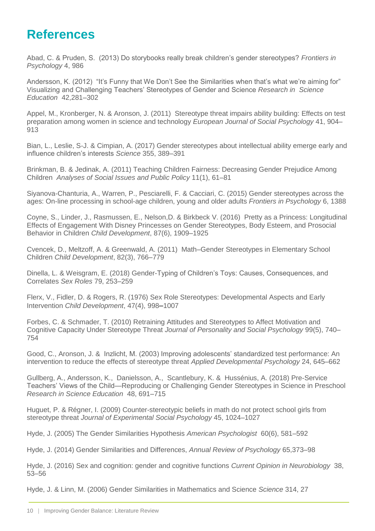### **References**

Abad, C. & Pruden, S. (2013) Do storybooks really break children's gender stereotypes? *Frontiers in Psychology* 4, 986

Andersson, K. (2012) "It's Funny that We Don't See the Similarities when that's what we're aiming for" Visualizing and Challenging Teachers' Stereotypes of Gender and Science *Research in Science Education* 42,281–302

Appel, M., Kronberger, N. & Aronson, J. (2011) Stereotype threat impairs ability building: Effects on test preparation among women in science and technology *European Journal of Social Psychology* 41, 904– 913

Bian, L., Leslie, S-J. & Cimpian, A. (2017) Gender stereotypes about intellectual ability emerge early and influence children's interests *Science* 355, 389–391

Brinkman, B. & Jedinak, A. (2011) Teaching Children Fairness: Decreasing Gender Prejudice Among Children *Analyses of Social Issues and Public Policy* 11(1), 61–81

Siyanova-Chanturia, A., Warren, P., Pesciarelli, F. & Cacciari, C. (2015) Gender stereotypes across the ages: On-line processing in school-age children, young and older adults *Frontiers in Psychology* 6, 1388

Coyne, S., Linder, J., Rasmussen, E., Nelson,D. & Birkbeck V. (2016) Pretty as a Princess: Longitudinal Effects of Engagement With Disney Princesses on Gender Stereotypes, Body Esteem, and Prosocial Behavior in Children *Child Development*, 87(6), 1909–1925

Cvencek, D., Meltzoff, A. & Greenwald, A. (2011) Math–Gender Stereotypes in Elementary School Children *Child Development*, 82(3), 766–779

Dinella, L. & Weisgram, E. (2018) Gender-Typing of Children's Toys: Causes, Consequences, and Correlates *Sex Roles* 79, 253–259

Flerx, V., Fidler, D. & Rogers, R. (1976) Sex Role Stereotypes: Developmental Aspects and Early Intervention *Child Development*, 47(4), 998–1007

Forbes, C. & Schmader, T. (2010) Retraining Attitudes and Stereotypes to Affect Motivation and Cognitive Capacity Under Stereotype Threat *Journal of Personality and Social Psychology* 99(5), 740– 754

Good, C., Aronson, J. & Inzlicht, M. (2003) Improving adolescents' standardized test performance: An intervention to reduce the effects of stereotype threat *Applied Developmental Psychology* 24, 645–662

Gullberg, A., Andersson, K., Danielsson, A., Scantlebury, K. & Hussénius, A. (2018) Pre-Service Teachers' Views of the Child—Reproducing or Challenging Gender Stereotypes in Science in Preschool *Research in Science Education* 48, 691–715

Huguet, P. & Régner, I. (2009) Counter-stereotypic beliefs in math do not protect school girls from stereotype threat *Journal of Experimental Social Psychology* 45, 1024–1027

Hyde, J. (2005) The Gender Similarities Hypothesis *American Psychologist* 60(6), 581–592

Hyde, J. (2014) Gender Similarities and Differences, *Annual Review of Psychology* 65,373–98

Hyde, J. (2016) Sex and cognition: gender and cognitive functions *Current Opinion in Neurobiology* 38, 53–56

Hyde, J. & Linn, M. (2006) Gender Similarities in Mathematics and Science *Science* 314, 27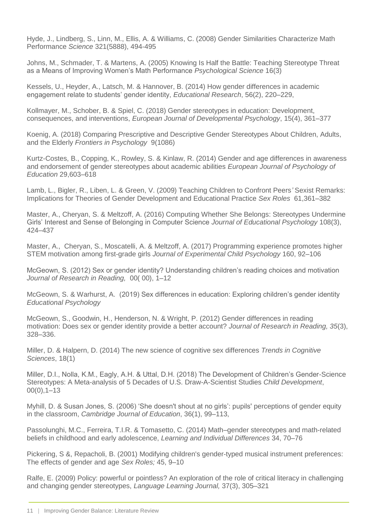Hyde, J., Lindberg, S., Linn, M., Ellis, A. & Williams, C. (2008) Gender Similarities Characterize Math Performance *Science* 321(5888), 494-495

Johns, M., Schmader, T. & Martens, A. (2005) Knowing Is Half the Battle: Teaching Stereotype Threat as a Means of Improving Women's Math Performance *Psychological Science* 16(3)

Kessels, U., Heyder, A., Latsch, M. & Hannover, B. (2014) How gender differences in academic engagement relate to students' gender identity, *Educational Research*, 56(2), 220–229,

Kollmayer, M., Schober, B. & Spiel, C. (2018) Gender stereotypes in education: Development, consequences, and interventions, *European Journal of Developmental Psychology*, 15(4), 361–377

Koenig, A. (2018) Comparing Prescriptive and Descriptive Gender Stereotypes About Children, Adults, and the Elderly *Frontiers in Psychology* 9(1086)

Kurtz-Costes, B., Copping, K., Rowley, S. & Kinlaw, R. (2014) Gender and age differences in awareness and endorsement of gender stereotypes about academic abilities *European Journal of Psychology of Education* 29,603–618

Lamb, L., Bigler, R., Liben, L. & Green, V. (2009) Teaching Children to Confront Peers*'* Sexist Remarks: Implications for Theories of Gender Development and Educational Practice *Sex Roles* 61,361–382

Master, A., Cheryan, S. & Meltzoff, A. (2016) Computing Whether She Belongs: Stereotypes Undermine Girls' Interest and Sense of Belonging in Computer Science *Journal of Educational Psychology* 108(3), 424–437

Master, A., Cheryan, S., Moscatelli, A. & Meltzoff, A. (2017) Programming experience promotes higher STEM motivation among first-grade girls *Journal of Experimental Child Psychology* 160, 92–106

McGeown, S. (2012) Sex or gender identity? Understanding children's reading choices and motivation *Journal of Research in Reading,* 00( 00), 1–12

McGeown, S. & Warhurst, A. (2019) Sex differences in education: Exploring children's gender identity *Educational Psychology*

McGeown, S., Goodwin, H., Henderson, N. & Wright, P. (2012) Gender differences in reading motivation: Does sex or gender identity provide a better account? *Journal of Research in Reading, 35*(3), 328–336.

Miller, D. & Halpern, D. (2014) The new science of cognitive sex differences *Trends in Cognitive Sciences*, 18(1)

Miller, D.I., Nolla, K.M., Eagly, A.H. & Uttal, D.H. (2018) The Development of Children's Gender-Science Stereotypes: A Meta-analysis of 5 Decades of U.S. Draw-A-Scientist Studies *Child Development*,  $00(0)$ , 1–13

Myhill, D. & Susan Jones, S. (2006) 'She doesn't shout at no girls': pupils' perceptions of gender equity in the classroom, *Cambridge Journal of Education*, 36(1), 99–113,

Passolunghi, M.C., Ferreira, T.I.R. & Tomasetto, C. (2014) Math–gender stereotypes and math-related beliefs in childhood and early adolescence, *Learning and Individual Differences* 34, 70–76

Pickering, S &, Repacholi, B. (2001) Modifying children's gender-typed musical instrument preferences: The effects of gender and age *Sex Roles;* 45, 9–10

Ralfe, E. (2009) Policy: powerful or pointless? An exploration of the role of critical literacy in challenging and changing gender stereotypes, *Language Learning Journal,* 37(3), 305–321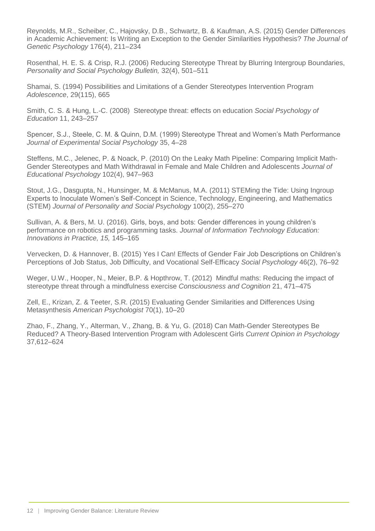Reynolds, M.R., Scheiber, C., Hajovsky, D.B., Schwartz, B. & Kaufman, A.S. (2015) Gender Differences in Academic Achievement: Is Writing an Exception to the Gender Similarities Hypothesis? *The Journal of Genetic Psychology* 176(4), 211–234

Rosenthal, H. E. S. & Crisp, R.J. (2006) Reducing Stereotype Threat by Blurring Intergroup Boundaries, *Personality and Social Psychology Bulletin,* 32(4), 501–511

Shamai, S. (1994) Possibilities and Limitations of a Gender Stereotypes Intervention Program *Adolescence*, 29(115), 665

Smith, C. S. & Hung, L.-C. (2008) Stereotype threat: effects on education *Social Psychology of Education* 11, 243–257

Spencer, S.J., Steele, C. M. & Quinn, D.M. (1999) Stereotype Threat and Women's Math Performance *Journal of Experimental Social Psychology* 35, 4–28

Steffens, M.C., Jelenec, P. & Noack, P. (2010) On the Leaky Math Pipeline: Comparing Implicit Math-Gender Stereotypes and Math Withdrawal in Female and Male Children and Adolescents *Journal of Educational Psychology* 102(4), 947–963

Stout, J.G., Dasgupta, N., Hunsinger, M. & McManus, M.A. (2011) STEMing the Tide: Using Ingroup Experts to Inoculate Women's Self-Concept in Science, Technology, Engineering, and Mathematics (STEM) *Journal of Personality and Social Psychology* 100(2), 255–270

Sullivan, A. & Bers, M. U. (2016). Girls, boys, and bots: Gender differences in young children's performance on robotics and programming tasks. *Journal of Information Technology Education: Innovations in Practice, 15,* 145–165

Vervecken, D. & Hannover, B. (2015) Yes I Can! Effects of Gender Fair Job Descriptions on Children's Perceptions of Job Status, Job Difficulty, and Vocational Self-Efficacy *Social Psychology* 46(2), 76–92

Weger, U.W., Hooper, N., Meier, B.P. & Hopthrow, T. (2012) Mindful maths: Reducing the impact of stereotype threat through a mindfulness exercise *Consciousness and Cognition* 21, 471–475

Zell, E., Krizan, Z. & Teeter, S.R. (2015) Evaluating Gender Similarities and Differences Using Metasynthesis *American Psychologist* 70(1), 10–20

Zhao, F., Zhang, Y., Alterman, V., Zhang, B. & Yu, G. (2018) Can Math-Gender Stereotypes Be Reduced? A Theory-Based Intervention Program with Adolescent Girls *Current Opinion in Psychology* 37,612–624